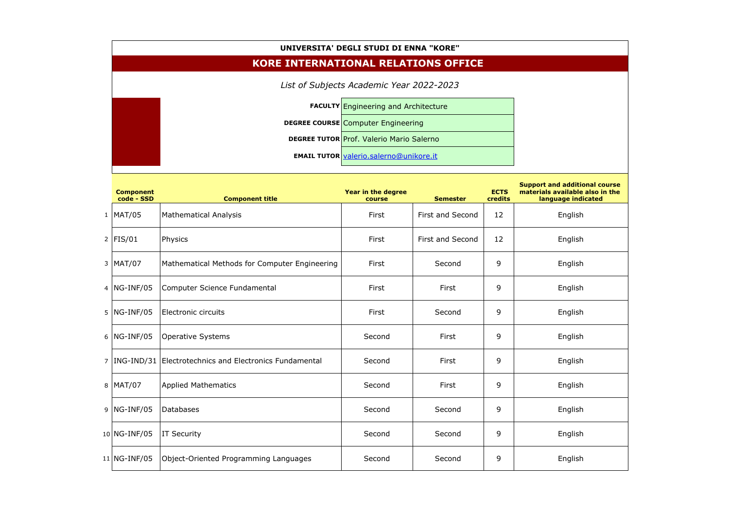| UNIVERSITA' DEGLI STUDI DI ENNA "KORE"     |                                                              |                                                 |                         |                        |                                                                                               |  |  |  |  |
|--------------------------------------------|--------------------------------------------------------------|-------------------------------------------------|-------------------------|------------------------|-----------------------------------------------------------------------------------------------|--|--|--|--|
| <b>KORE INTERNATIONAL RELATIONS OFFICE</b> |                                                              |                                                 |                         |                        |                                                                                               |  |  |  |  |
|                                            |                                                              |                                                 |                         |                        |                                                                                               |  |  |  |  |
|                                            | <b>FACULTY Engineering and Architecture</b>                  |                                                 |                         |                        |                                                                                               |  |  |  |  |
|                                            |                                                              | <b>DEGREE COURSE Computer Engineering</b>       |                         |                        |                                                                                               |  |  |  |  |
|                                            |                                                              | <b>DEGREE TUTOR Prof. Valerio Mario Salerno</b> |                         |                        |                                                                                               |  |  |  |  |
|                                            |                                                              | <b>EMAIL TUTOR valerio.salerno@unikore.it</b>   |                         |                        |                                                                                               |  |  |  |  |
| <b>Component</b><br>code - SSD             | <b>Component title</b>                                       | <b>Year in the degree</b><br>course             | <b>Semester</b>         | <b>ECTS</b><br>credits | <b>Support and additional course</b><br>materials available also in the<br>language indicated |  |  |  |  |
| $1$  MAT/05                                | <b>Mathematical Analysis</b>                                 | First                                           | First and Second        | 12                     | English                                                                                       |  |  |  |  |
| $2$ FIS/01                                 | Physics                                                      | First                                           | <b>First and Second</b> | 12                     | English                                                                                       |  |  |  |  |
| $3$ MAT/07                                 | Mathematical Methods for Computer Engineering                | First                                           | Second                  | 9                      | English                                                                                       |  |  |  |  |
| $4$  NG-INF/05                             | Computer Science Fundamental                                 | First                                           | First                   | 9                      | English                                                                                       |  |  |  |  |
|                                            | 5   NG-INF/05   Electronic circuits                          | First                                           | Second                  | 9                      | English                                                                                       |  |  |  |  |
| $6$  NG-INF/05                             | <b>Operative Systems</b>                                     | Second                                          | First                   | 9                      | English                                                                                       |  |  |  |  |
|                                            | 7   ING-IND/31   Electrotechnics and Electronics Fundamental | Second                                          | First                   | 9                      | English                                                                                       |  |  |  |  |
| 8 MAT/07                                   | <b>Applied Mathematics</b>                                   | Second                                          | First                   | 9                      | English                                                                                       |  |  |  |  |
| $9$ NG-INF/05                              | <b>Databases</b>                                             | Second                                          | Second                  | 9                      | English                                                                                       |  |  |  |  |
| 10   NG-INF/05                             | <b>IT Security</b>                                           | Second                                          | Second                  | 9                      | English                                                                                       |  |  |  |  |
| $11 NG-INF/05$                             | Object-Oriented Programming Languages                        | Second                                          | Second                  | 9                      | English                                                                                       |  |  |  |  |